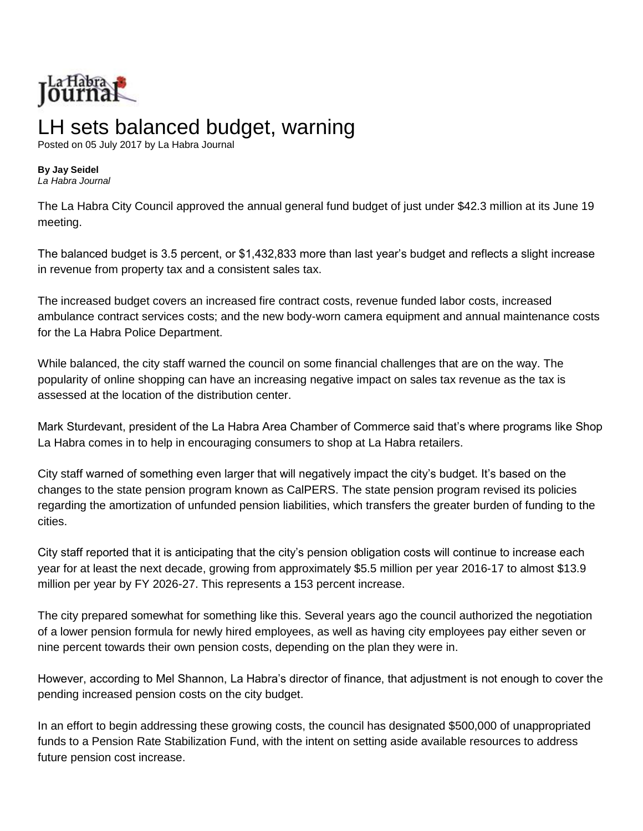

## LH sets balanced budget, warning

Posted on 05 July 2017 by La Habra Journal

## **By Jay Seidel**

*La Habra Journal*

The La Habra City Council approved the annual general fund budget of just under \$42.3 million at its June 19 meeting.

The balanced budget is 3.5 percent, or \$1,432,833 more than last year's budget and reflects a slight increase in revenue from property tax and a consistent sales tax.

The increased budget covers an increased fire contract costs, revenue funded labor costs, increased ambulance contract services costs; and the new body-worn camera equipment and annual maintenance costs for the La Habra Police Department.

While balanced, the city staff warned the council on some financial challenges that are on the way. The popularity of online shopping can have an increasing negative impact on sales tax revenue as the tax is assessed at the location of the distribution center.

Mark Sturdevant, president of the La Habra Area Chamber of Commerce said that's where programs like Shop La Habra comes in to help in encouraging consumers to shop at La Habra retailers.

City staff warned of something even larger that will negatively impact the city's budget. It's based on the changes to the state pension program known as CalPERS. The state pension program revised its policies regarding the amortization of unfunded pension liabilities, which transfers the greater burden of funding to the cities.

City staff reported that it is anticipating that the city's pension obligation costs will continue to increase each year for at least the next decade, growing from approximately \$5.5 million per year 2016-17 to almost \$13.9 million per year by FY 2026-27. This represents a 153 percent increase.

The city prepared somewhat for something like this. Several years ago the council authorized the negotiation of a lower pension formula for newly hired employees, as well as having city employees pay either seven or nine percent towards their own pension costs, depending on the plan they were in.

However, according to Mel Shannon, La Habra's director of finance, that adjustment is not enough to cover the pending increased pension costs on the city budget.

In an effort to begin addressing these growing costs, the council has designated \$500,000 of unappropriated funds to a Pension Rate Stabilization Fund, with the intent on setting aside available resources to address future pension cost increase.